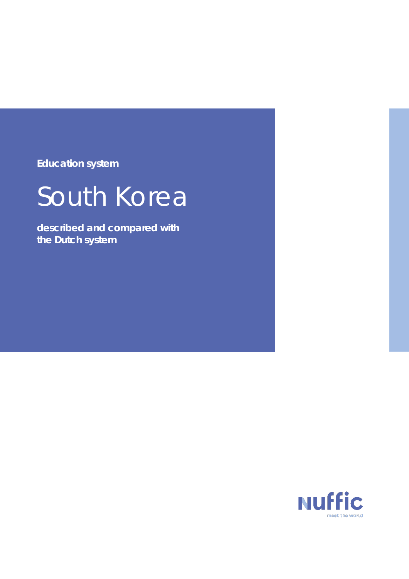**Education system**

# South Korea

**described and compared with the Dutch system**

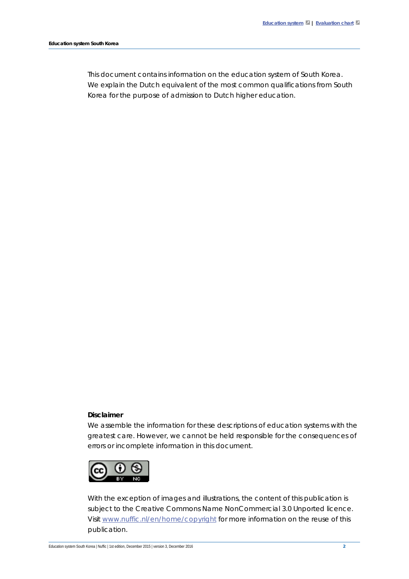This document contains information on the education system of South Korea. We explain the Dutch equivalent of the most common qualifications from South Korea for the purpose of admission to Dutch higher education.

#### **Disclaimer**

We assemble the information for these descriptions of education systems with the greatest care. However, we cannot be held responsible for the consequences of errors or incomplete information in this document.



With the exception of images and illustrations, the content of this publication is subject to the Creative Commons Name NonCommercial 3.0 Unported licence. Visit [www.nuffic.nl/en/home/copyright](http://www.nuffic.nl/en/home/copyright) for more information on the reuse of this publication.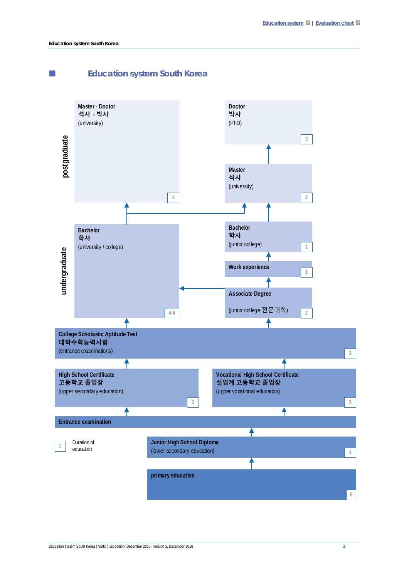<span id="page-2-0"></span>

#### Education system South Korea | Nuffic | 1st edition, December 2015 | version 3, December 2016 3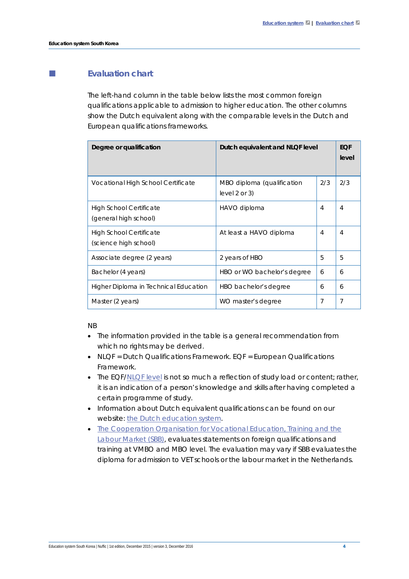## <span id="page-3-0"></span>**Evaluation chart**

The left-hand column in the table below lists the most common foreign qualifications applicable to admission to higher education. The other columns show the Dutch equivalent along with the comparable levels in the Dutch and European qualifications frameworks.

| Degree or qualification                                 | Dutch equivalent and NLQF level                 |     | <b>EQF</b><br>level |
|---------------------------------------------------------|-------------------------------------------------|-----|---------------------|
| Vocational High School Certificate                      | MBO diploma (qualification<br>level $2$ or $3)$ | 2/3 | 2/3                 |
| <b>High School Certificate</b><br>(general high school) | HAVO diploma                                    | 4   | $\overline{4}$      |
| High School Certificate<br>(science high school)        | At least a HAVO diploma                         | 4   | 4                   |
| Associate degree (2 years)                              | 2 years of HBO                                  | 5   | 5                   |
| Bachelor (4 years)                                      | HBO or WO bachelor's degree                     | 6   | 6                   |
| Higher Diploma in Technical Education                   | HBO bachelor's degree                           | 6   | 6                   |
| Master (2 years)                                        | WO master's degree                              | 7   | 7                   |

#### NB

- The information provided in the table is a general recommendation from which no rights may be derived.
- NLQF = Dutch Qualifications Framework. EQF = European Qualifications Framework.
- The EQF[/NLQF level](http://www.nlqf.nl/english) is not so much a reflection of study load or content; rather, it is an indication of a person's knowledge and skills after having completed a certain programme of study.
- Information about Dutch equivalent qualifications can be found on our website[: the Dutch education system.](https://www.nuffic.nl/en/publications/find-a-publication/education-system-the-netherlands.pdf)
- [The Cooperation Organisation for Vocational Education, Training and the](https://www.s-bb.nl/en)  [Labour Market \(SBB\),](https://www.s-bb.nl/en) evaluates statements on foreign qualifications and training at VMBO and MBO level. The evaluation may vary if SBB evaluates the diploma for admission to VET schools or the labour market in the Netherlands.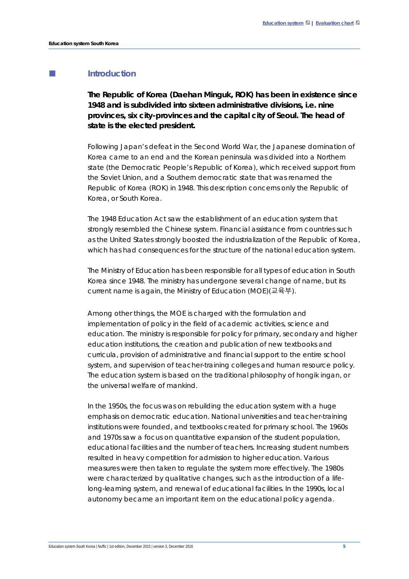## **Introduction**

**The Republic of Korea (***Daehan Minguk***, ROK) has been in existence since 1948 and is subdivided into sixteen administrative divisions, i.e. nine provinces, six city-provinces and the capital city of Seoul. The head of state is the elected president.** 

Following Japan's defeat in the Second World War, the Japanese domination of Korea came to an end and the Korean peninsula was divided into a Northern state (the Democratic People's Republic of Korea), which received support from the Soviet Union, and a Southern democratic state that was renamed the Republic of Korea (ROK) in 1948. This description concerns only the Republic of Korea, or South Korea.

The 1948 Education Act saw the establishment of an education system that strongly resembled the Chinese system. Financial assistance from countries such as the United States strongly boosted the industrialization of the Republic of Korea, which has had consequences for the structure of the national education system.

The Ministry of Education has been responsible for all types of education in South Korea since 1948. The ministry has undergone several change of name, but its current name is again, the Ministry of Education (MOE)(교육부).

Among other things, the MOE is charged with the formulation and implementation of policy in the field of academic activities, science and education. The ministry is responsible for policy for primary, secondary and higher education institutions, the creation and publication of new textbooks and curricula, provision of administrative and financial support to the entire school system, and supervision of teacher-training colleges and human resource policy. The education system is based on the traditional philosophy of *hongik ingan*, or the universal welfare of mankind.

In the 1950s, the focus was on rebuilding the education system with a huge emphasis on democratic education. National universities and teacher-training institutions were founded, and textbooks created for primary school. The 1960s and 1970s saw a focus on quantitative expansion of the student population, educational facilities and the number of teachers. Increasing student numbers resulted in heavy competition for admission to higher education. Various measures were then taken to regulate the system more effectively. The 1980s were characterized by qualitative changes, such as the introduction of a lifelong-learning system, and renewal of educational facilities. In the 1990s, local autonomy became an important item on the educational policy agenda.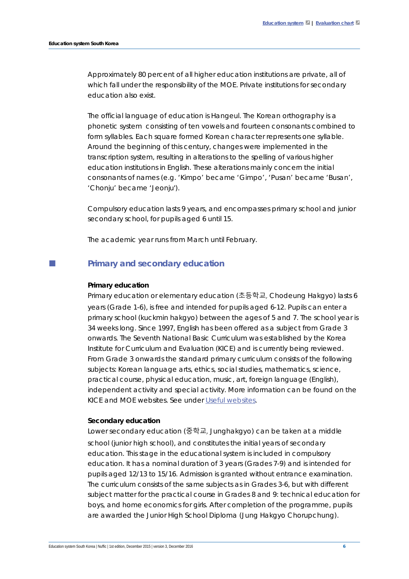Approximately 80 percent of all higher education institutions are private, all of which fall under the responsibility of the MOE. Private institutions for secondary education also exist.

The official language of education is Hangeul. The Korean orthography is a phonetic system consisting of ten vowels and fourteen consonants combined to form syllables. Each square formed Korean character represents one syllable. Around the beginning of this century, changes were implemented in the transcription system, resulting in alterations to the spelling of various higher education institutions in English. These alterations mainly concern the initial consonants of names (e.g. 'Kimpo' became 'Gimpo', 'Pusan' became 'Busan', 'Chonju' became 'Jeonju').

Compulsory education lasts 9 years, and encompasses primary school and junior secondary school, for pupils aged 6 until 15.

The academic year runs from March until February.

## **Primary and secondary education**

#### **Primary education**

Primary education or elementary education (초등학교, *Chodeung Hakgyo*) lasts 6 years (*Grade* 1-6), is free and intended for pupils aged 6-12. Pupils can enter a primary school (*kuckmin hakgyo*) between the ages of 5 and 7. The school year is 34 weeks long. Since 1997, English has been offered as a subject from Grade 3 onwards. The Seventh National Basic Curriculum was established by the Korea Institute for Curriculum and Evaluation (KICE) and is currently being reviewed. From Grade 3 onwards the standard primary curriculum consists of the following subjects: Korean language arts, ethics, social studies, mathematics, science, practical course, physical education, music, art, foreign language (English), independent activity and special activity. More information can be found on the KICE and MOE websites. See under [Useful websites.](#page-17-0)

#### **Secondary education**

Lower secondary education (중학교, *Junghakgyo*) can be taken at a middle school (junior high school), and constitutes the initial years of secondary education. This stage in the educational system is included in compulsory education. It has a nominal duration of 3 years (Grades 7-9) and is intended for pupils aged 12/13 to 15/16. Admission is granted without entrance examination. The curriculum consists of the same subjects as in Grades 3-6, but with different subject matter for the practical course in Grades 8 and 9: technical education for boys, and home economics for girls. After completion of the programme, pupils are awarded the Junior High School Diploma (*Jung Hakgyo Chorupchung*).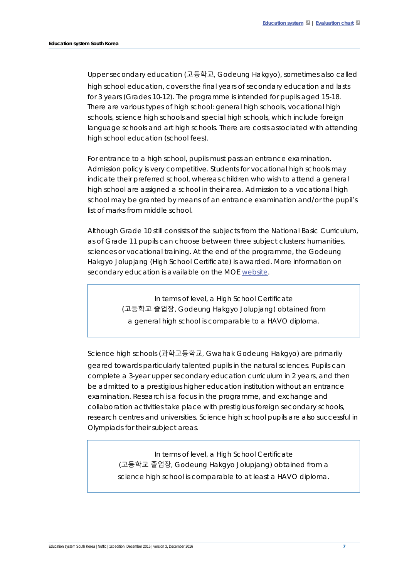Upper secondary education (고등학교, *Godeung Hakgyo*), sometimes also called high school education, covers the final years of secondary education and lasts for 3 years (Grades 10-12). The programme is intended for pupils aged 15-18. There are various types of high school: general high schools, vocational high schools, science high schools and special high schools, which include foreign language schools and art high schools. There are costs associated with attending high school education (school fees).

For entrance to a high school, pupils must pass an entrance examination. Admission policy is very competitive. Students for vocational high schools may indicate their preferred school, whereas children who wish to attend a general high school are assigned a school in their area. Admission to a vocational high school may be granted by means of an entrance examination and/or the pupil's list of marks from middle school.

Although Grade 10 still consists of the subjects from the National Basic Curriculum, as of Grade 11 pupils can choose between three subject clusters: humanities, sciences or vocational training. At the end of the programme, the *Godeung Hakgyo Jolupjang* (High School Certificate) is awarded. More information on secondary education is available on the MOE [website.](http://english.moe.go.kr/main.do?s=english)

> In terms of level, a *High School Certificate* (고등학교 졸업장, *Godeung Hakgyo Jolupjang*) obtained from a general high school is comparable to a HAVO diploma.

Science high schools (과학고등학교, *Gwahak Godeung Hakgyo*) are primarily geared towards particularly talented pupils in the natural sciences. Pupils can complete a 3-year upper secondary education curriculum in 2 years, and then be admitted to a prestigious higher education institution without an entrance examination. Research is a focus in the programme, and exchange and collaboration activities take place with prestigious foreign secondary schools, research centres and universities. Science high school pupils are also successful in Olympiads for their subject areas.

> In terms of level, a *High School Certificate* (고등학교 졸업장, *Godeung Hakgyo Jolupjang*) obtained from a science high school is comparable to at least a HAVO diploma.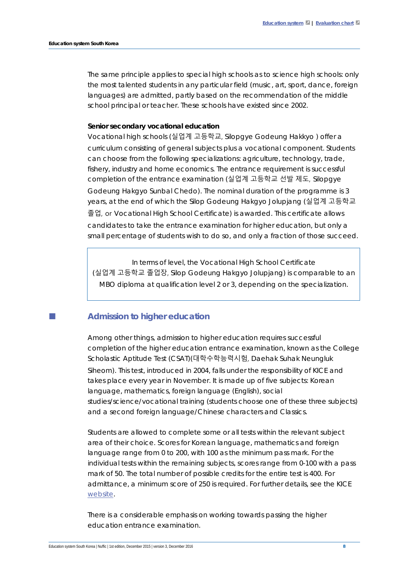The same principle applies to special high schools as to science high schools: only the most talented students in any particular field (music, art, sport, dance, foreign languages) are admitted, partly based on the recommendation of the middle school principal or teacher. These schools have existed since 2002.

#### **Senior secondary vocational education**

Vocational high schools (실업계 고등학교, *Silopgye Godeung Hakkyo )* offer a curriculum consisting of general subjects plus a vocational component. Students can choose from the following specializations: agriculture, technology, trade, fishery, industry and home economics. The entrance requirement is successful completion of the entrance examination (실업계 고등학교 선발 제도, *Silopgye Godeung Hakgyo Sunbal Chedo*). The nominal duration of the programme is 3 years, at the end of which the *Silop* G*odeung Hakgyo Jolupjang* (실업계 고등학교 졸업, or Vocational High School Certificate) is awarded. This certificate allows candidates to take the entrance examination for higher education, but only a small percentage of students wish to do so, and only a fraction of those succeed.

In terms of level, the *Vocational High School Certificate (*실업계 고등학교 졸업장, *Silop Godeung Hakgyo Jolupjang*) is comparable to an MBO diploma at qualification level 2 or 3, depending on the specialization.

#### **Admission to higher education**

Among other things, admission to higher education requires successful completion of the higher education entrance examination, known as the College Scholastic Aptitude Test (CSAT)(대학수학능력시험, *Daehak Suhak Neungluk Siheom*). This test, introduced in 2004, falls under the responsibility of KICE and takes place every year in November. It is made up of five subjects: Korean language, mathematics, foreign language (English), social studies/science/vocational training (students choose one of these three subjects) and a second foreign language/Chinese characters and Classics.

Students are allowed to complete some or all tests within the relevant subject area of their choice. Scores for Korean language, mathematics and foreign language range from 0 to 200, with 100 as the minimum pass mark. For the individual tests within the remaining subjects, scores range from 0-100 with a pass mark of 50. The total number of possible credits for the entire test is 400. For admittance, a minimum score of 250 is required. For further details, see the KICE [website.](http://kice.re.kr/en/index.do)

There is a considerable emphasis on working towards passing the higher education entrance examination.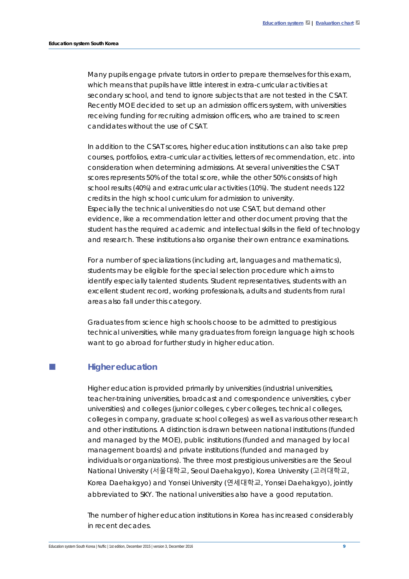Many pupils engage private tutors in order to prepare themselves for this exam, which means that pupils have little interest in extra-curricular activities at secondary school, and tend to ignore subjects that are not tested in the CSAT. Recently MOE decided to set up an admission officers system, with universities receiving funding for recruiting admission officers, who are trained to screen candidates without the use of CSAT.

In addition to the CSAT scores, higher education institutions can also take prep courses, portfolios, extra-curricular activities, letters of recommendation, etc. into consideration when determining admissions. At several universities the CSAT scores represents 50% of the total score, while the other 50% consists of high school results (40%) and extracurricular activities (10%). The student needs 122 credits in the high school curriculum for admission to university. Especially the technical universities do not use CSAT, but demand other evidence, like a recommendation letter and other document proving that the student has the required academic and intellectual skills in the field of technology and research. These institutions also organise their own entrance examinations.

For a number of specializations (including art, languages and mathematics), students may be eligible for the special selection procedure which aims to identify especially talented students. Student representatives, students with an excellent student record, working professionals, adults and students from rural areas also fall under this category.

Graduates from science high schools choose to be admitted to prestigious technical universities, while many graduates from foreign language high schools want to go abroad for further study in higher education.

#### **Higher education**

Higher education is provided primarily by universities (industrial universities, teacher-training universities, broadcast and correspondence universities, cyber universities) and colleges (junior colleges, cyber colleges, technical colleges, colleges in company, graduate school colleges) as well as various other research and other institutions. A distinction is drawn between national institutions (funded and managed by the MOE), public institutions (funded and managed by local management boards) and private institutions (funded and managed by individuals or organizations). The three most prestigious universities are the Seoul National University (서울대학교, *Seoul Daehakgyo)*, Korea University (고려대학교*, Korea Daehakgyo)* and Yonsei University (연세대학교*, Yonsei Daehakgyo)*, jointly abbreviated to SKY. The national universities also have a good reputation.

The number of higher education institutions in Korea has increased considerably in recent decades.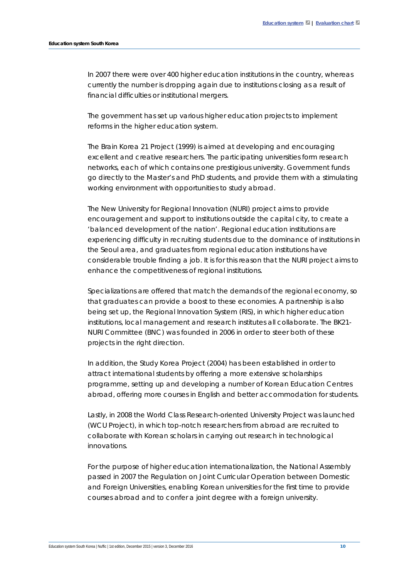In 2007 there were over 400 higher education institutions in the country, whereas currently the number is dropping again due to institutions closing as a result of financial difficulties or institutional mergers.

The government has set up various higher education projects to implement reforms in the higher education system.

The Brain Korea 21 Project (1999) is aimed at developing and encouraging excellent and creative researchers. The participating universities form research networks, each of which contains one prestigious university. Government funds go directly to the Master's and PhD students, and provide them with a stimulating working environment with opportunities to study abroad.

The New University for Regional Innovation (NURI) project aims to provide encouragement and support to institutions outside the capital city, to create a 'balanced development of the nation'. Regional education institutions are experiencing difficulty in recruiting students due to the dominance of institutions in the Seoul area, and graduates from regional education institutions have considerable trouble finding a job. It is for this reason that the NURI project aims to enhance the competitiveness of regional institutions.

Specializations are offered that match the demands of the regional economy, so that graduates can provide a boost to these economies. A partnership is also being set up, the Regional Innovation System (RIS), in which higher education institutions, local management and research institutes all collaborate. The BK21- NURI Committee (BNC) was founded in 2006 in order to steer both of these projects in the right direction.

In addition, the Study Korea Project (2004) has been established in order to attract international students by offering a more extensive scholarships programme, setting up and developing a number of Korean Education Centres abroad, offering more courses in English and better accommodation for students.

Lastly, in 2008 the *World Class Research-oriented University Project* was launched (*WCU Project*), in which top-notch researchers from abroad are recruited to collaborate with Korean scholars in carrying out research in technological innovations.

For the purpose of higher education internationalization, the National Assembly passed in 2007 the *Regulation on Joint Curricular Operation between Domestic and Foreign Universities*, enabling Korean universities for the first time to provide courses abroad and to confer a joint degree with a foreign university.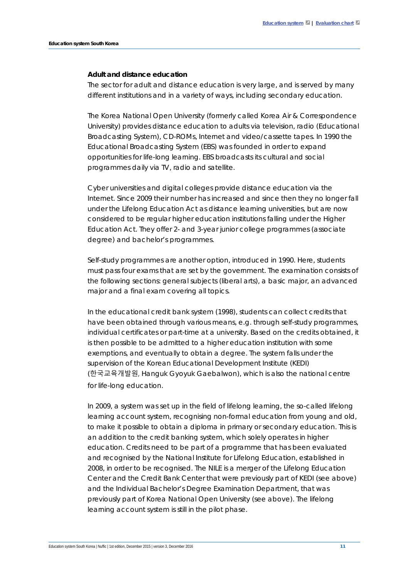#### **Adult and distance education**

The sector for adult and distance education is very large, and is served by many different institutions and in a variety of ways, including secondary education.

The Korea National Open University (formerly called Korea Air & Correspondence University) provides distance education to adults via television, radio (Educational Broadcasting System), CD-ROMs, Internet and video/cassette tapes. In 1990 the Educational Broadcasting System (EBS) was founded in order to expand opportunities for life-long learning. EBS broadcasts its cultural and social programmes daily via TV, radio and satellite.

Cyber universities and digital colleges provide distance education via the Internet. Since 2009 their number has increased and since then they no longer fall under the Lifelong Education Act as distance learning universities, but are now considered to be regular higher education institutions falling under the Higher Education Act. They offer 2- and 3-year junior college programmes (associate degree) and bachelor's programmes.

Self-study programmes are another option, introduced in 1990. Here, students must pass four exams that are set by the government. The examination consists of the following sections: general subjects (liberal arts), a basic major, an advanced major and a final exam covering all topics.

In the educational credit bank system (1998), students can collect credits that have been obtained through various means, e.g. through self-study programmes, individual certificates or part-time at a university. Based on the credits obtained, it is then possible to be admitted to a higher education institution with some exemptions, and eventually to obtain a degree. The system falls under the supervision of the Korean Educational Development Institute (KEDI) (한국교육개발원, *Hanguk Gyoyuk Gaebalwon*), which is also the national centre for life-long education.

In 2009, a system was set up in the field of lifelong learning, the so-called lifelong learning account system, recognising non-formal education from young and old, to make it possible to obtain a diploma in primary or secondary education. This is an addition to the credit banking system, which solely operates in higher education. Credits need to be part of a programme that has been evaluated and recognised by the National Institute for Lifelong Education, established in 2008, in order to be recognised. The NILE is a merger of the Lifelong Education Center and the Credit Bank Center that were previously part of KEDI (see above) and the Individual Bachelor's Degree Examination Department, that was previously part of Korea National Open University (see above). The lifelong learning account system is still in the pilot phase.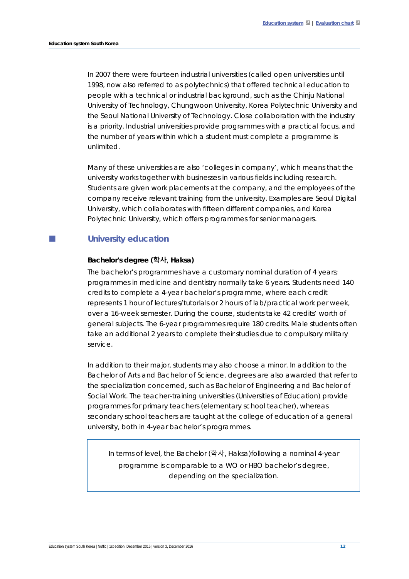In 2007 there were fourteen industrial universities (called open universities until 1998, now also referred to as polytechnics) that offered technical education to people with a technical or industrial background, such as the Chinju National University of Technology, Chungwoon University, Korea Polytechnic University and the Seoul National University of Technology. Close collaboration with the industry is a priority. Industrial universities provide programmes with a practical focus, and the number of years within which a student must complete a programme is unlimited.

Many of these universities are also 'colleges in company', which means that the university works together with businesses in various fields including research. Students are given work placements at the company, and the employees of the company receive relevant training from the university. Examples are Seoul Digital University, which collaborates with fifteen different companies, and Korea Polytechnic University, which offers programmes for senior managers.

## **University education**

#### **Bachelor's degree (학사,** *Haksa***)**

The bachelor's programmes have a customary nominal duration of 4 years; programmes in medicine and dentistry normally take 6 years. Students need 140 credits to complete a 4-year bachelor's programme, where each credit represents 1 hour of lectures/tutorials or 2 hours of lab/practical work per week, over a 16-week semester. During the course, students take 42 credits' worth of general subjects. The 6-year programmes require 180 credits. Male students often take an additional 2 years to complete their studies due to compulsory military service.

In addition to their major, students may also choose a minor. In addition to the Bachelor of Arts and Bachelor of Science, degrees are also awarded that refer to the specialization concerned, such as Bachelor of Engineering and Bachelor of Social Work. The teacher-training universities (Universities of Education) provide programmes for primary teachers (elementary school teacher), whereas secondary school teachers are taught at the college of education of a general university, both in 4-year bachelor's programmes.

In terms of level, the *Bachelor* (학사, *Haksa*)following a nominal 4-year programme is comparable to a WO or HBO bachelor's degree, depending on the specialization.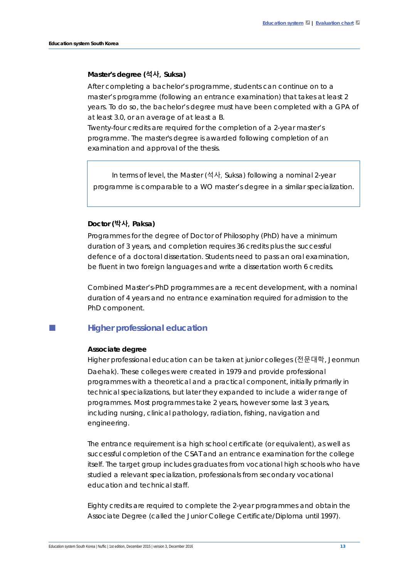#### **Master's degree (석사,** *Suksa***)**

After completing a bachelor's programme, students can continue on to a master's programme (following an entrance examination) that takes at least 2 years. To do so, the bachelor's degree must have been completed with a GPA of at least 3.0, or an average of at least a B.

Twenty-four credits are required for the completion of a 2-year master's programme. The master's degree is awarded following completion of an examination and approval of the thesis.

In terms of level, the *Master* (석사, *Suksa*) following a nominal 2-year programme is comparable to a WO master's degree in a similar specialization.

#### **Doctor (박사,** *Paksa***)**

Programmes for the degree of Doctor of Philosophy (PhD) have a minimum duration of 3 years, and completion requires 36 credits plus the successful defence of a doctoral dissertation. Students need to pass an oral examination, be fluent in two foreign languages and write a dissertation worth 6 credits.

Combined Master's-PhD programmes are a recent development, with a nominal duration of 4 years and no entrance examination required for admission to the PhD component.

## **Higher professional education**

#### **Associate degree**

Higher professional education can be taken at junior colleges (전문대학, Jeonmun Daehak). These colleges were created in 1979 and provide professional programmes with a theoretical and a practical component, initially primarily in technical specializations, but later they expanded to include a wider range of programmes. Most programmes take 2 years, however some last 3 years, including nursing, clinical pathology, radiation, fishing, navigation and engineering.

The entrance requirement is a high school certificate (or equivalent), as well as successful completion of the CSAT and an entrance examination for the college itself. The target group includes graduates from vocational high schools who have studied a relevant specialization, professionals from secondary vocational education and technical staff.

Eighty credits are required to complete the 2-year programmes and obtain the Associate Degree (called the Junior College Certificate/Diploma until 1997).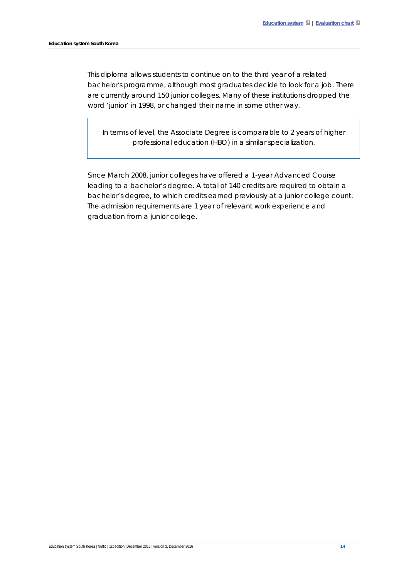This diploma allows students to continue on to the third year of a related bachelor's programme, although most graduates decide to look for a job. There are currently around 150 junior colleges. Many of these institutions dropped the word 'junior' in 1998, or changed their name in some other way.

In terms of level, the *Associate Degree* is comparable to 2 years of higher professional education (HBO) in a similar specialization.

Since March 2008, junior colleges have offered a 1-year Advanced Course leading to a bachelor's degree. A total of 140 credits are required to obtain a bachelor's degree, to which credits earned previously at a junior college count. The admission requirements are 1 year of relevant work experience and graduation from a junior college.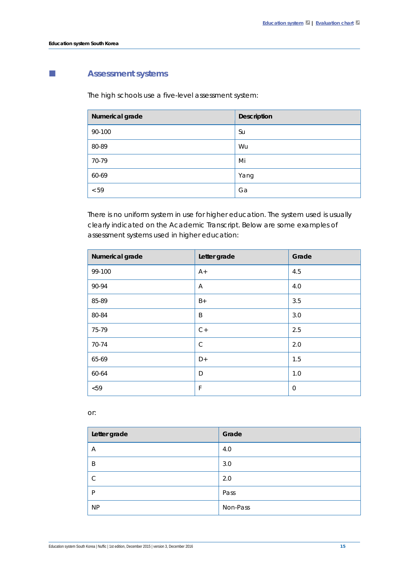# **Assessment systems**

The high schools use a five-level assessment system:

| Numerical grade | <b>Description</b> |
|-----------------|--------------------|
| 90-100          | Su                 |
| 80-89           | Wu                 |
| 70-79           | Mi                 |
| 60-69           | Yang               |
| < 59            | Ga                 |

There is no uniform system in use for higher education. The system used is usually clearly indicated on the Academic Transcript. Below are some examples of assessment systems used in higher education:

| Numerical grade | Letter grade   | Grade |
|-----------------|----------------|-------|
| 99-100          | $A+$           | 4.5   |
| 90-94           | $\overline{A}$ | 4.0   |
| 85-89           | $B+$           | 3.5   |
| 80-84           | B              | 3.0   |
| 75-79           | $C+$           | 2.5   |
| 70-74           | $\mathcal{C}$  | 2.0   |
| 65-69           | D+             | 1.5   |
| 60-64           | D              | 1.0   |
| < 59            | F              | 0     |

or:

| Letter grade  | Grade    |
|---------------|----------|
| Α             | 4.0      |
| B             | 3.0      |
| $\mathcal{C}$ | 2.0      |
| P             | Pass     |
| <b>NP</b>     | Non-Pass |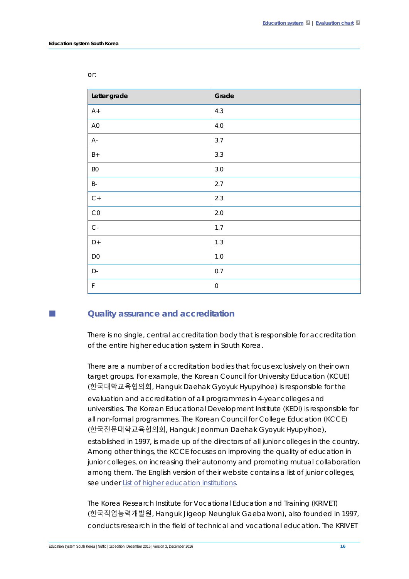| Letter grade        | Grade               |
|---------------------|---------------------|
| $A+$                | 4.3                 |
| A <sub>0</sub>      | $4.0$               |
| $A -$               | 3.7                 |
| $B+$                | 3.3                 |
| B <sub>0</sub>      | $3.0\,$             |
| $\mathsf B\text{-}$ | 2.7                 |
| $C+$                | 2.3                 |
| CO                  | $2.0\,$             |
| $C -$               | 1.7                 |
| $D+$                | 1.3                 |
| D <sub>0</sub>      | $1.0\,$             |
| D-                  | 0.7                 |
| $\mathsf F$         | $\mathsf{O}\xspace$ |

or:

#### **Quality assurance and accreditation**

There is no single, central accreditation body that is responsible for accreditation of the entire higher education system in South Korea.

There are a number of accreditation bodies that focus exclusively on their own target groups. For example, the Korean Council for University Education (KCUE) (한국대학교육협의회, *Hanguk Daehak Gyoyuk Hyupyihoe*) is responsible for the evaluation and accreditation of all programmes in 4-year colleges and universities. The Korean Educational Development Institute (KEDI) is responsible for all non-formal programmes. The Korean Council for College Education (KCCE) (한국전문대학교육협의회, *Hanguk Jeonmun Daehak Gyoyuk Hyupyihoe*), established in 1997, is made up of the directors of all junior colleges in the country. Among other things, the KCCE focuses on improving the quality of education in junior colleges, on increasing their autonomy and promoting mutual collaboration among them. The English version of their website contains a list of junior colleges, see under [List of higher education institutions.](#page-16-0)

The Korea Research Institute for Vocational Education and Training (KRIVET) (한국직업능력개발원, *Hanguk Jigeop Neungluk Gaebalwon*), also founded in 1997, conducts research in the field of technical and vocational education. The KRIVET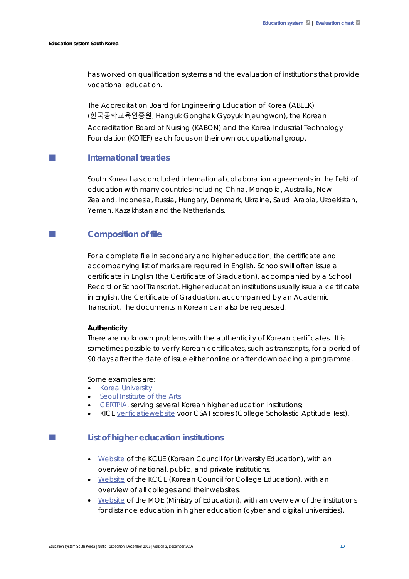has worked on qualification systems and the evaluation of institutions that provide vocational education.

The Accreditation Board for Engineering Education of Korea (ABEEK) (한국공학교육인증원, *Hanguk Gonghak Gyoyuk Injeungwon*), the Korean Accreditation Board of Nursing (KABON) and the Korea Industrial Technology Foundation (KOTEF) each focus on their own occupational group.

## **International treaties**

South Korea has concluded international collaboration agreements in the field of education with many countries including China, Mongolia, Australia, New Zealand, Indonesia, Russia, Hungary, Denmark, Ukraine, Saudi Arabia, Uzbekistan, Yemen, Kazakhstan and the Netherlands.

## **Composition of file**

For a complete file in secondary and higher education, the certificate and accompanying list of marks are required in English. Schools will often issue a certificate in English (the Certificate of Graduation), accompanied by a School Record or School Transcript. Higher education institutions usually issue a certificate in English, the Certificate of Graduation, accompanied by an Academic Transcript. The documents in Korean can also be requested.

#### **Authenticity**

There are no known problems with the authenticity of Korean certificates. It is sometimes possible to verify Korean certificates, such as transcripts, for a period of 90 days after the date of issue either online or after downloading a programme.

#### Some examples are:

- [Korea University](http://icert.korea.ac.kr/jsp/cert/CertForgeCheckPortal.jsp)
- [Seoul Institute of the Arts](http://www.seoularts.ac.kr/mbs/kr/index.jsp)
- [CERTPIA,](http://www.certpia.com/newCert/fore/fore_eng.asp) serving several Korean higher education institutions;
- KICE [verificatiewebsite](http://csatscorecard.kice.re.kr/scoreWeb/e_verification/e_procedure.jsp) voor CSAT scores (College Scholastic Aptitude Test).

#### <span id="page-16-0"></span>**List of higher education institutions**

- [Website](http://english.kcue.or.kr/member/member_01_01.php) of the KCUE (Korean Council for University Education), with an overview of national, public, and private institutions.
- [Website](http://www.kcce.or.kr/web/main/intro.do) of the KCCE (Korean Council for College Education), with an overview of all colleges and their websites.
- [Website](http://english.moe.go.kr/main.do?s=english) of the MOE (Ministry of Education), with an overview of the institutions for distance education in higher education (cyber and digital universities).